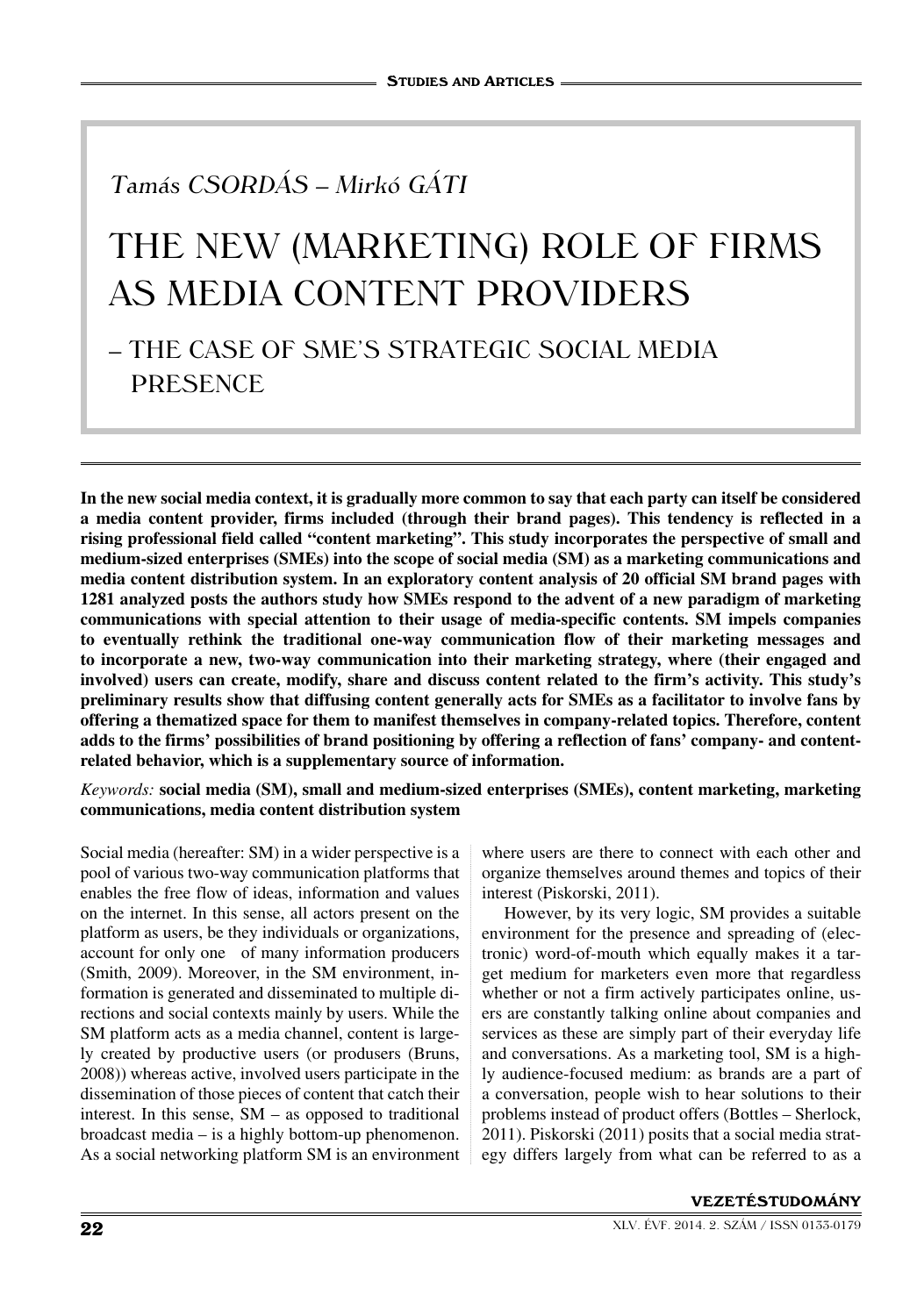# Tamás Csordás – Mirkó Gáti

# The New (Marketing) Role of Firms as Media Content Providers

# – The case of SME's Strategic Social Media **PRESENCE**

**In the new social media context, it is gradually more common to say that each party can itself be considered a media content provider, firms included (through their brand pages). This tendency is reflected in a rising professional field called "content marketing". This study incorporates the perspective of small and medium-sized enterprises (SMEs) into the scope of social media (SM) as a marketing communications and media content distribution system. In an exploratory content analysis of 20 official SM brand pages with 1281 analyzed posts the authors study how SMEs respond to the advent of a new paradigm of marketing communications with special attention to their usage of media-specific contents. SM impels companies to eventually rethink the traditional one-way communication flow of their marketing messages and to incorporate a new, two-way communication into their marketing strategy, where (their engaged and involved) users can create, modify, share and discuss content related to the firm's activity. This study's preliminary results show that diffusing content generally acts for SMEs as a facilitator to involve fans by offering a thematized space for them to manifest themselves in company-related topics. Therefore, content adds to the firms' possibilities of brand positioning by offering a reflection of fans' company- and contentrelated behavior, which is a supplementary source of information.**

*Keywords:* **social media (SM), small and medium-sized enterprises (SMEs), content marketing, marketing communications, media content distribution system**

Social media (hereafter: SM) in a wider perspective is a pool of various two-way communication platforms that enables the free flow of ideas, information and values on the internet. In this sense, all actors present on the platform as users, be they individuals or organizations, account for only one of many information producers (Smith, 2009). Moreover, in the SM environment, information is generated and disseminated to multiple directions and social contexts mainly by users. While the SM platform acts as a media channel, content is largely created by productive users (or produsers (Bruns, 2008)) whereas active, involved users participate in the dissemination of those pieces of content that catch their interest. In this sense, SM – as opposed to traditional broadcast media – is a highly bottom-up phenomenon. As a social networking platform SM is an environment

where users are there to connect with each other and organize themselves around themes and topics of their interest (Piskorski, 2011).

However, by its very logic, SM provides a suitable environment for the presence and spreading of (electronic) word-of-mouth which equally makes it a target medium for marketers even more that regardless whether or not a firm actively participates online, users are constantly talking online about companies and services as these are simply part of their everyday life and conversations. As a marketing tool, SM is a highly audience-focused medium: as brands are a part of a conversation, people wish to hear solutions to their problems instead of product offers (Bottles – Sherlock, 2011). Piskorski (2011) posits that a social media strategy differs largely from what can be referred to as a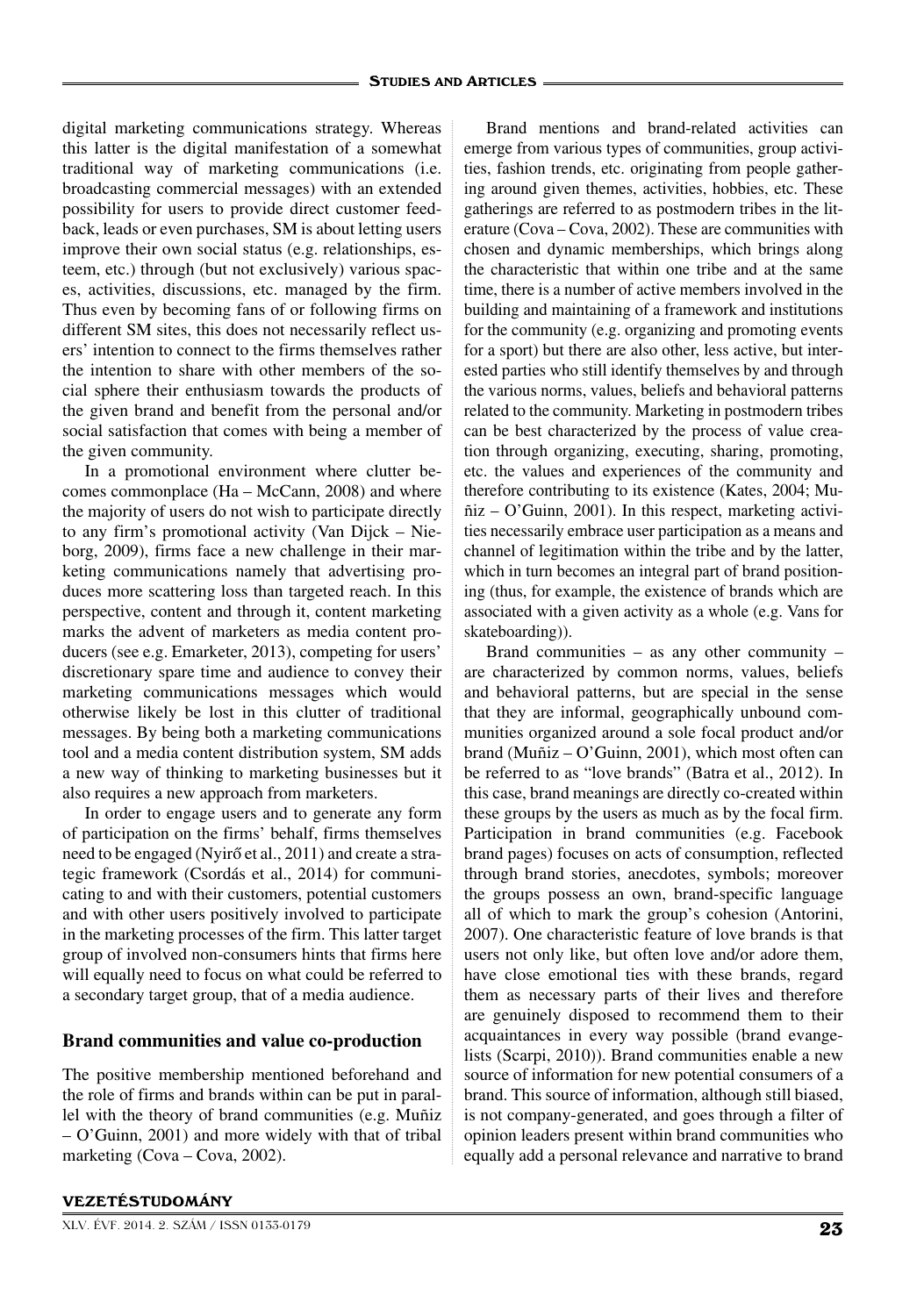digital marketing communications strategy. Whereas this latter is the digital manifestation of a somewhat traditional way of marketing communications (i.e. broadcasting commercial messages) with an extended possibility for users to provide direct customer feedback, leads or even purchases, SM is about letting users improve their own social status (e.g. relationships, esteem, etc.) through (but not exclusively) various spaces, activities, discussions, etc. managed by the firm. Thus even by becoming fans of or following firms on different SM sites, this does not necessarily reflect users' intention to connect to the firms themselves rather the intention to share with other members of the social sphere their enthusiasm towards the products of the given brand and benefit from the personal and/or social satisfaction that comes with being a member of the given community.

In a promotional environment where clutter becomes commonplace (Ha – McCann, 2008) and where the majority of users do not wish to participate directly to any firm's promotional activity (Van Dijck – Nieborg, 2009), firms face a new challenge in their marketing communications namely that advertising produces more scattering loss than targeted reach. In this perspective, content and through it, content marketing marks the advent of marketers as media content producers (see e.g. Emarketer, 2013), competing for users' discretionary spare time and audience to convey their marketing communications messages which would otherwise likely be lost in this clutter of traditional messages. By being both a marketing communications tool and a media content distribution system, SM adds a new way of thinking to marketing businesses but it also requires a new approach from marketers.

In order to engage users and to generate any form of participation on the firms' behalf, firms themselves need to be engaged (Nyirő et al., 2011) and create a strategic framework (Csordás et al., 2014) for communicating to and with their customers, potential customers and with other users positively involved to participate in the marketing processes of the firm. This latter target group of involved non-consumers hints that firms here will equally need to focus on what could be referred to a secondary target group, that of a media audience.

## **Brand communities and value co-production**

The positive membership mentioned beforehand and the role of firms and brands within can be put in parallel with the theory of brand communities (e.g. Muñiz – O'Guinn, 2001) and more widely with that of tribal marketing (Cova – Cova, 2002).

Brand mentions and brand-related activities can emerge from various types of communities, group activities, fashion trends, etc. originating from people gathering around given themes, activities, hobbies, etc. These gatherings are referred to as postmodern tribes in the literature (Cova – Cova, 2002). These are communities with chosen and dynamic memberships, which brings along the characteristic that within one tribe and at the same time, there is a number of active members involved in the building and maintaining of a framework and institutions for the community (e.g. organizing and promoting events for a sport) but there are also other, less active, but interested parties who still identify themselves by and through the various norms, values, beliefs and behavioral patterns related to the community. Marketing in postmodern tribes can be best characterized by the process of value creation through organizing, executing, sharing, promoting, etc. the values and experiences of the community and therefore contributing to its existence (Kates, 2004; Muñiz – O'Guinn, 2001). In this respect, marketing activities necessarily embrace user participation as a means and channel of legitimation within the tribe and by the latter, which in turn becomes an integral part of brand positioning (thus, for example, the existence of brands which are associated with a given activity as a whole (e.g. Vans for skateboarding)).

Brand communities – as any other community – are characterized by common norms, values, beliefs and behavioral patterns, but are special in the sense that they are informal, geographically unbound communities organized around a sole focal product and/or brand (Muñiz – O'Guinn, 2001), which most often can be referred to as "love brands" (Batra et al., 2012). In this case, brand meanings are directly co-created within these groups by the users as much as by the focal firm. Participation in brand communities (e.g. Facebook brand pages) focuses on acts of consumption, reflected through brand stories, anecdotes, symbols; moreover the groups possess an own, brand-specific language all of which to mark the group's cohesion (Antorini, 2007). One characteristic feature of love brands is that users not only like, but often love and/or adore them, have close emotional ties with these brands, regard them as necessary parts of their lives and therefore are genuinely disposed to recommend them to their acquaintances in every way possible (brand evangelists (Scarpi, 2010)). Brand communities enable a new source of information for new potential consumers of a brand. This source of information, although still biased, is not company-generated, and goes through a filter of opinion leaders present within brand communities who equally add a personal relevance and narrative to brand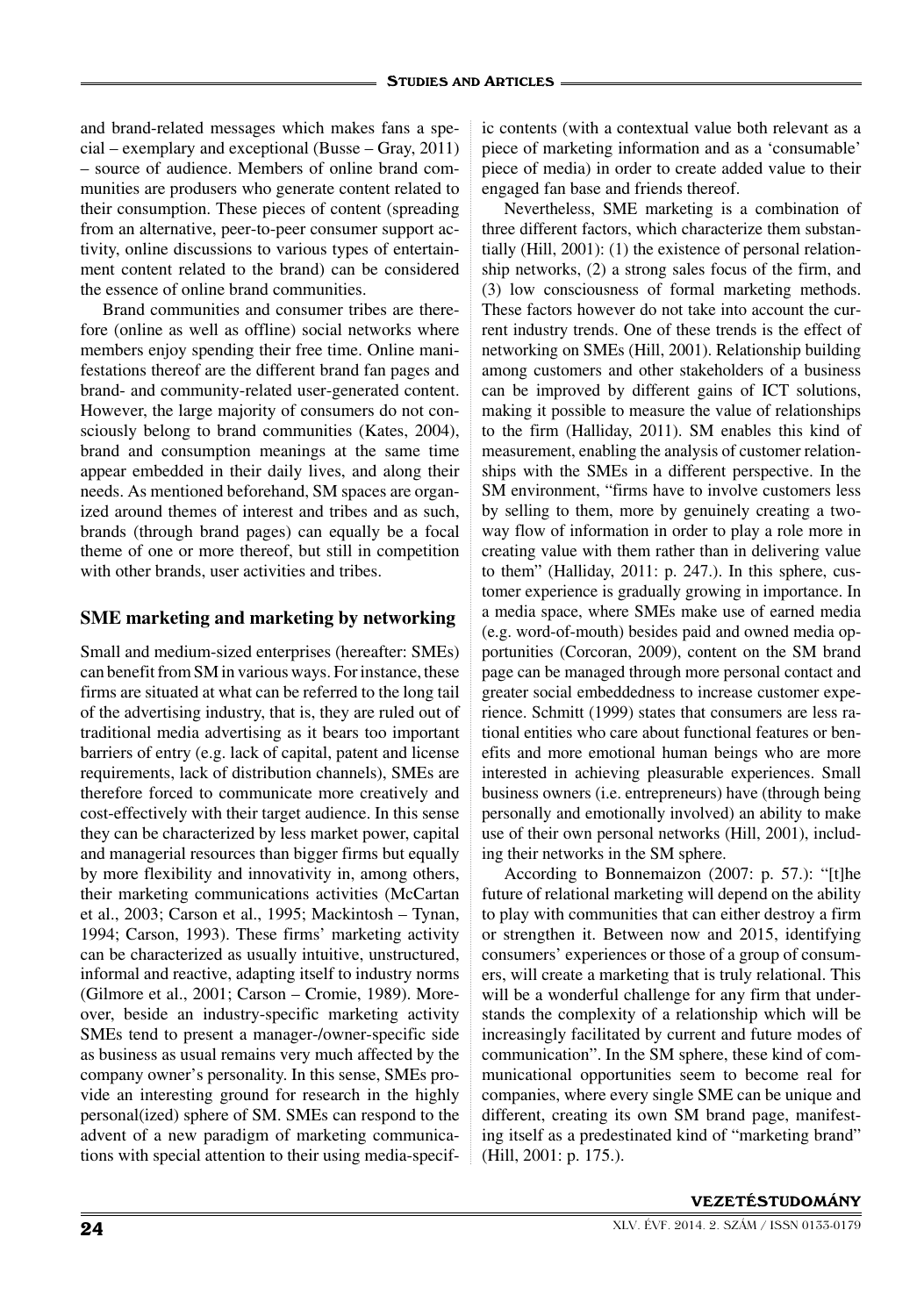and brand-related messages which makes fans a special – exemplary and exceptional (Busse – Gray, 2011) – source of audience. Members of online brand communities are produsers who generate content related to their consumption. These pieces of content (spreading from an alternative, peer-to-peer consumer support activity, online discussions to various types of entertainment content related to the brand) can be considered the essence of online brand communities.

Brand communities and consumer tribes are therefore (online as well as offline) social networks where members enjoy spending their free time. Online manifestations thereof are the different brand fan pages and brand- and community-related user-generated content. However, the large majority of consumers do not consciously belong to brand communities (Kates, 2004), brand and consumption meanings at the same time appear embedded in their daily lives, and along their needs. As mentioned beforehand, SM spaces are organized around themes of interest and tribes and as such, brands (through brand pages) can equally be a focal theme of one or more thereof, but still in competition with other brands, user activities and tribes.

## **SME marketing and marketing by networking**

Small and medium-sized enterprises (hereafter: SMEs) can benefit from SM in various ways. For instance, these firms are situated at what can be referred to the long tail of the advertising industry, that is, they are ruled out of traditional media advertising as it bears too important barriers of entry (e.g. lack of capital, patent and license requirements, lack of distribution channels), SMEs are therefore forced to communicate more creatively and cost-effectively with their target audience. In this sense they can be characterized by less market power, capital and managerial resources than bigger firms but equally by more flexibility and innovativity in, among others, their marketing communications activities (McCartan et al., 2003; Carson et al., 1995; Mackintosh – Tynan, 1994; Carson, 1993). These firms' marketing activity can be characterized as usually intuitive, unstructured, informal and reactive, adapting itself to industry norms (Gilmore et al., 2001; Carson – Cromie, 1989). Moreover, beside an industry-specific marketing activity SMEs tend to present a manager-/owner-specific side as business as usual remains very much affected by the company owner's personality. In this sense, SMEs provide an interesting ground for research in the highly personal(ized) sphere of SM. SMEs can respond to the advent of a new paradigm of marketing communications with special attention to their using media-specific contents (with a contextual value both relevant as a piece of marketing information and as a 'consumable' piece of media) in order to create added value to their engaged fan base and friends thereof.

Nevertheless, SME marketing is a combination of three different factors, which characterize them substantially (Hill, 2001): (1) the existence of personal relationship networks, (2) a strong sales focus of the firm, and (3) low consciousness of formal marketing methods. These factors however do not take into account the current industry trends. One of these trends is the effect of networking on SMEs (Hill, 2001). Relationship building among customers and other stakeholders of a business can be improved by different gains of ICT solutions, making it possible to measure the value of relationships to the firm (Halliday, 2011). SM enables this kind of measurement, enabling the analysis of customer relationships with the SMEs in a different perspective. In the SM environment, "firms have to involve customers less by selling to them, more by genuinely creating a twoway flow of information in order to play a role more in creating value with them rather than in delivering value to them" (Halliday, 2011: p. 247.). In this sphere, customer experience is gradually growing in importance. In a media space, where SMEs make use of earned media (e.g. word-of-mouth) besides paid and owned media opportunities (Corcoran, 2009), content on the SM brand page can be managed through more personal contact and greater social embeddedness to increase customer experience. Schmitt (1999) states that consumers are less rational entities who care about functional features or benefits and more emotional human beings who are more interested in achieving pleasurable experiences. Small business owners (i.e. entrepreneurs) have (through being personally and emotionally involved) an ability to make use of their own personal networks (Hill, 2001), including their networks in the SM sphere.

According to Bonnemaizon (2007: p. 57.): "[t]he future of relational marketing will depend on the ability to play with communities that can either destroy a firm or strengthen it. Between now and 2015, identifying consumers' experiences or those of a group of consumers, will create a marketing that is truly relational. This will be a wonderful challenge for any firm that understands the complexity of a relationship which will be increasingly facilitated by current and future modes of communication". In the SM sphere, these kind of communicational opportunities seem to become real for companies, where every single SME can be unique and different, creating its own SM brand page, manifesting itself as a predestinated kind of "marketing brand" (Hill, 2001: p. 175.).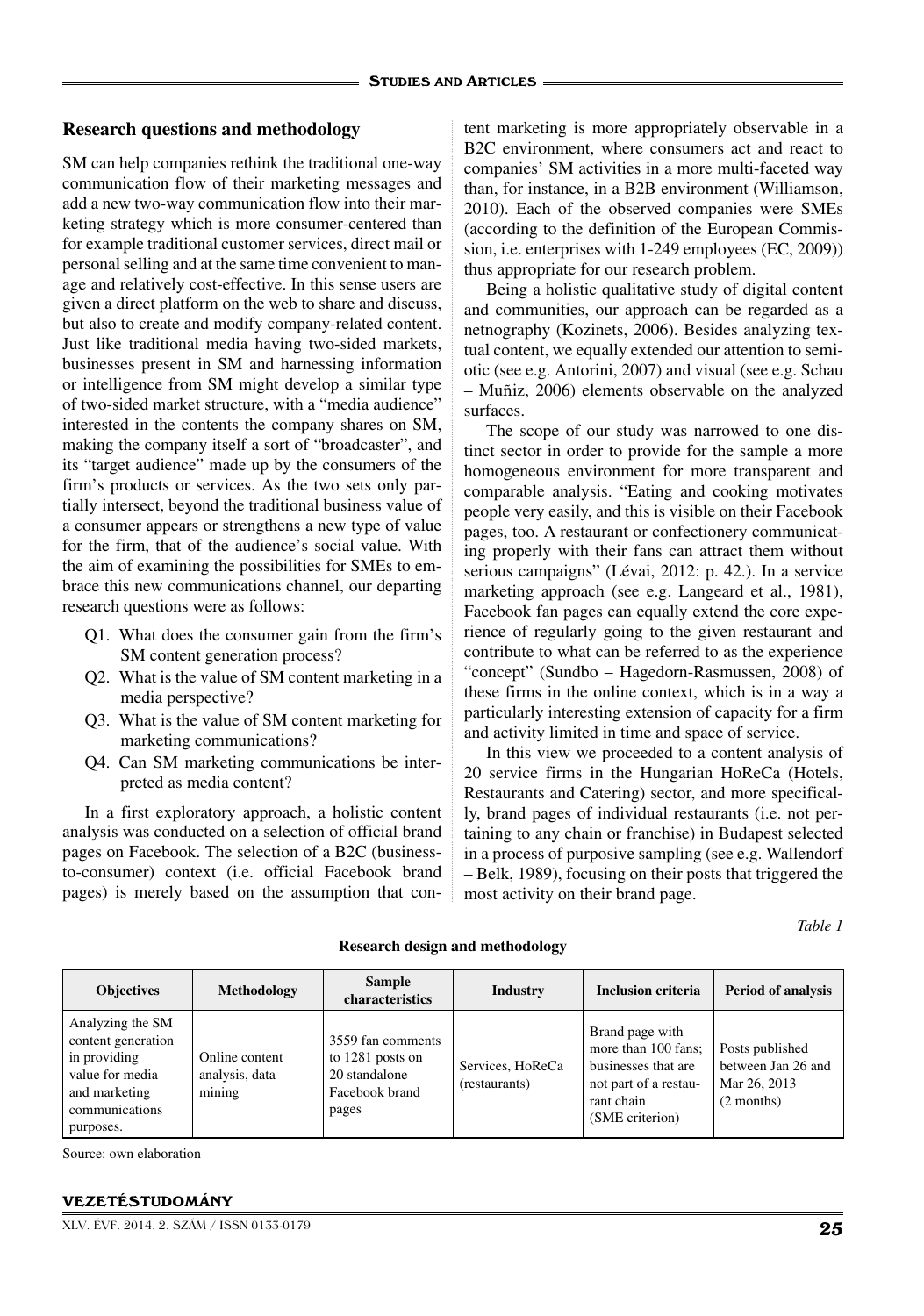#### **Research questions and methodology**

SM can help companies rethink the traditional one-way communication flow of their marketing messages and add a new two-way communication flow into their marketing strategy which is more consumer-centered than for example traditional customer services, direct mail or personal selling and at the same time convenient to manage and relatively cost-effective. In this sense users are given a direct platform on the web to share and discuss, but also to create and modify company-related content. Just like traditional media having two-sided markets, businesses present in SM and harnessing information or intelligence from SM might develop a similar type of two-sided market structure, with a "media audience" interested in the contents the company shares on SM, making the company itself a sort of "broadcaster", and its "target audience" made up by the consumers of the firm's products or services. As the two sets only partially intersect, beyond the traditional business value of a consumer appears or strengthens a new type of value for the firm, that of the audience's social value. With the aim of examining the possibilities for SMEs to embrace this new communications channel, our departing research questions were as follows:

- Q1. What does the consumer gain from the firm's SM content generation process?
- Q2. What is the value of SM content marketing in a media perspective?
- Q3. What is the value of SM content marketing for marketing communications?
- Q4. Can SM marketing communications be interpreted as media content?

In a first exploratory approach, a holistic content analysis was conducted on a selection of official brand pages on Facebook. The selection of a B2C (businessto-consumer) context (i.e. official Facebook brand pages) is merely based on the assumption that content marketing is more appropriately observable in a B2C environment, where consumers act and react to companies' SM activities in a more multi-faceted way than, for instance, in a B2B environment (Williamson, 2010). Each of the observed companies were SMEs (according to the definition of the European Commission, i.e. enterprises with 1-249 employees (EC, 2009)) thus appropriate for our research problem.

Being a holistic qualitative study of digital content and communities, our approach can be regarded as a netnography (Kozinets, 2006). Besides analyzing textual content, we equally extended our attention to semiotic (see e.g. Antorini, 2007) and visual (see e.g. Schau – Muñiz, 2006) elements observable on the analyzed surfaces.

The scope of our study was narrowed to one distinct sector in order to provide for the sample a more homogeneous environment for more transparent and comparable analysis. "Eating and cooking motivates people very easily, and this is visible on their Facebook pages, too. A restaurant or confectionery communicating properly with their fans can attract them without serious campaigns" (Lévai, 2012: p. 42.). In a service marketing approach (see e.g. Langeard et al., 1981), Facebook fan pages can equally extend the core experience of regularly going to the given restaurant and contribute to what can be referred to as the experience "concept" (Sundbo – Hagedorn-Rasmussen, 2008) of these firms in the online context, which is in a way a particularly interesting extension of capacity for a firm and activity limited in time and space of service.

In this view we proceeded to a content analysis of 20 service firms in the Hungarian HoReCa (Hotels, Restaurants and Catering) sector, and more specifically, brand pages of individual restaurants (i.e. not pertaining to any chain or franchise) in Budapest selected in a process of purposive sampling (see e.g. Wallendorf – Belk, 1989), focusing on their posts that triggered the most activity on their brand page.

*Table 1*

| <b>Objectives</b>                                                                                                         | <b>Methodology</b>                         | <b>Sample</b><br>characteristics                                                  | Industry                          | <b>Inclusion criteria</b>                                                                                               | <b>Period of analysis</b>                                             |
|---------------------------------------------------------------------------------------------------------------------------|--------------------------------------------|-----------------------------------------------------------------------------------|-----------------------------------|-------------------------------------------------------------------------------------------------------------------------|-----------------------------------------------------------------------|
| Analyzing the SM<br>content generation<br>in providing<br>value for media<br>and marketing<br>communications<br>purposes. | Online content<br>analysis, data<br>mining | 3559 fan comments<br>to 1281 posts on<br>20 standalone<br>Facebook brand<br>pages | Services, HoReCa<br>(restaurants) | Brand page with<br>more than 100 fans:<br>businesses that are<br>not part of a restau-<br>rant chain<br>(SME criterion) | Posts published<br>between Jan 26 and<br>Mar 26, 2013<br>$(2$ months) |

#### **Research design and methodology**

Source: own elaboration

#### VEZETÉSTUDOMÁNY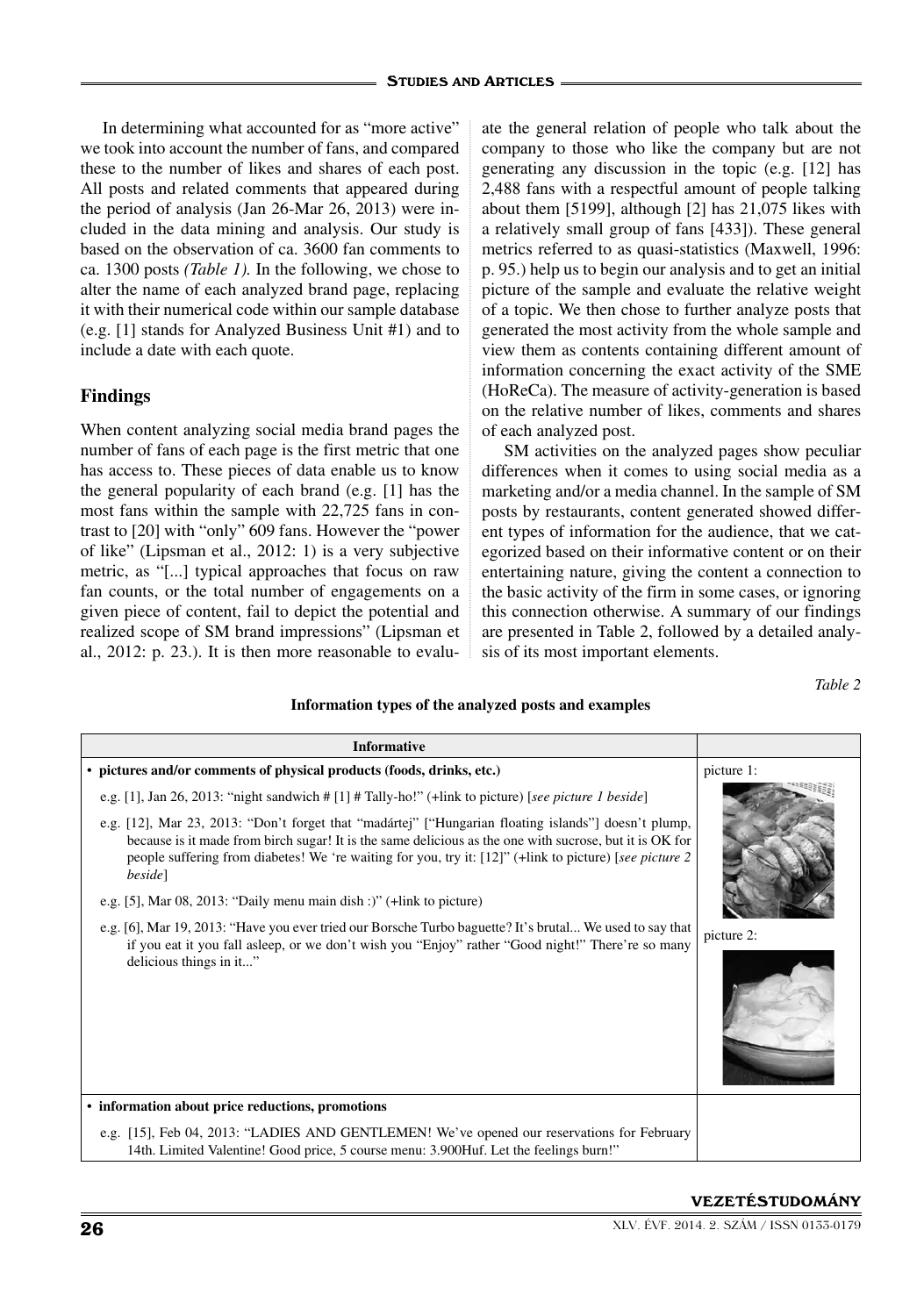In determining what accounted for as "more active" we took into account the number of fans, and compared these to the number of likes and shares of each post. All posts and related comments that appeared during the period of analysis (Jan 26-Mar 26, 2013) were included in the data mining and analysis. Our study is based on the observation of ca. 3600 fan comments to ca. 1300 posts *(Table 1).* In the following, we chose to alter the name of each analyzed brand page, replacing it with their numerical code within our sample database (e.g. [1] stands for Analyzed Business Unit #1) and to include a date with each quote.

# **Findings**

When content analyzing social media brand pages the number of fans of each page is the first metric that one has access to. These pieces of data enable us to know the general popularity of each brand (e.g. [1] has the most fans within the sample with 22,725 fans in contrast to [20] with "only" 609 fans. However the "power of like" (Lipsman et al., 2012: 1) is a very subjective metric, as "[...] typical approaches that focus on raw fan counts, or the total number of engagements on a given piece of content, fail to depict the potential and realized scope of SM brand impressions" (Lipsman et al., 2012: p. 23.). It is then more reasonable to evalu-

ate the general relation of people who talk about the company to those who like the company but are not generating any discussion in the topic (e.g. [12] has 2,488 fans with a respectful amount of people talking about them [5199], although [2] has 21,075 likes with a relatively small group of fans [433]). These general metrics referred to as quasi-statistics (Maxwell, 1996: p. 95.) help us to begin our analysis and to get an initial picture of the sample and evaluate the relative weight of a topic. We then chose to further analyze posts that generated the most activity from the whole sample and view them as contents containing different amount of information concerning the exact activity of the SME (HoReCa). The measure of activity-generation is based on the relative number of likes, comments and shares of each analyzed post.

SM activities on the analyzed pages show peculiar differences when it comes to using social media as a marketing and/or a media channel. In the sample of SM posts by restaurants, content generated showed different types of information for the audience, that we categorized based on their informative content or on their entertaining nature, giving the content a connection to the basic activity of the firm in some cases, or ignoring this connection otherwise. A summary of our findings are presented in Table 2, followed by a detailed analysis of its most important elements.

*Table 2*

#### **Information types of the analyzed posts and examples**

| <b>Informative</b>                                                                                                                                                                                                                                                                                                                    |            |
|---------------------------------------------------------------------------------------------------------------------------------------------------------------------------------------------------------------------------------------------------------------------------------------------------------------------------------------|------------|
| • pictures and/or comments of physical products (foods, drinks, etc.)                                                                                                                                                                                                                                                                 | picture 1: |
| e.g. [1], Jan 26, 2013: "night sandwich # [1] # Tally-ho!" (+link to picture) [see picture 1 beside]                                                                                                                                                                                                                                  |            |
| e.g. [12], Mar 23, 2013: "Don't forget that "madártej" ["Hungarian floating islands"] doesn't plump,<br>because is it made from birch sugar! It is the same delicious as the one with sucrose, but it is OK for<br>people suffering from diabetes! We 're waiting for you, try it: [12]" (+link to picture) [see picture 2<br>beside] |            |
| e.g. [5], Mar $08$ , $2013$ : "Daily menu main dish :)" (+link to picture)                                                                                                                                                                                                                                                            |            |
| e.g. [6], Mar 19, 2013: "Have you ever tried our Borsche Turbo baguette? It's brutal We used to say that<br>if you eat it you fall asleep, or we don't wish you "Enjoy" rather "Good night!" There're so many                                                                                                                         | picture 2: |
| delicious things in it"                                                                                                                                                                                                                                                                                                               |            |
| • information about price reductions, promotions                                                                                                                                                                                                                                                                                      |            |
| e.g. [15], Feb 04, 2013: "LADIES AND GENTLEMEN! We've opened our reservations for February<br>14th. Limited Valentine! Good price, 5 course menu: 3.900Huf. Let the feelings burn!"                                                                                                                                                   |            |

#### VEZETÉSTUDOMÁNY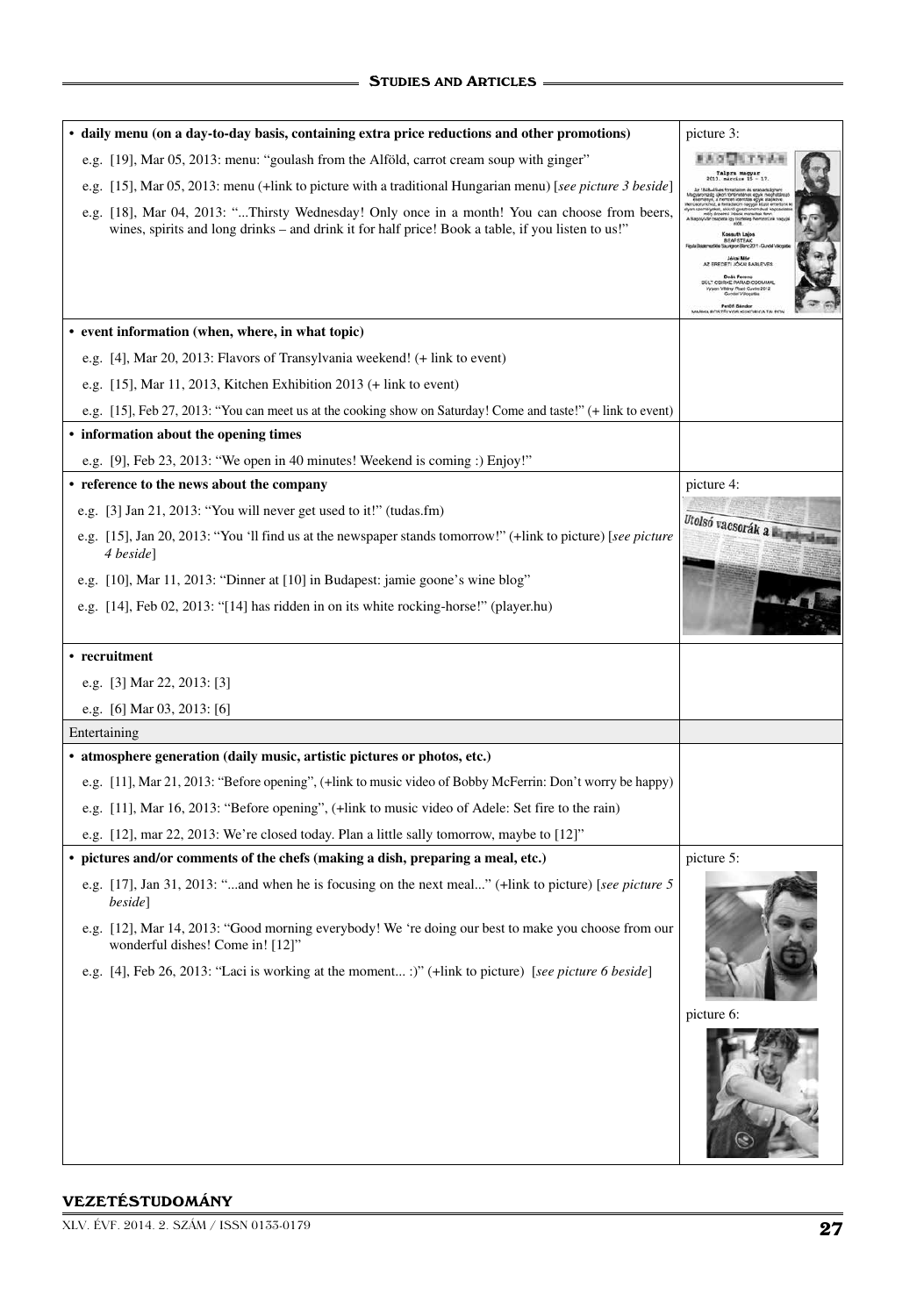| · daily menu (on a day-to-day basis, containing extra price reductions and other promotions)                                                                                                       | picture 3:                                                                                                                                                                                          |
|----------------------------------------------------------------------------------------------------------------------------------------------------------------------------------------------------|-----------------------------------------------------------------------------------------------------------------------------------------------------------------------------------------------------|
| e.g. [19], Mar 05, 2013: menu: "goulash from the Alföld, carrot cream soup with ginger"                                                                                                            |                                                                                                                                                                                                     |
| e.g. [15], Mar 05, 2013: menu (+link to picture with a traditional Hungarian menu) [see picture 3 beside]                                                                                          |                                                                                                                                                                                                     |
| e.g. [18], Mar 04, 2013: "Thirsty Wednesday! Only once in a month! You can choose from beers,<br>wines, spirits and long drinks – and drink it for half price! Book a table, if you listen to us!" | Kossuth Lajos<br><b>BEAFSTEAK</b><br>Jékai Mér<br>AZ EREDETI JÓKAI BABLEVES<br>Deák Ferenc<br><b>BULT CSIRKE PARADICSOMMAL</b><br>Maryi Rozó Cuvõe 2012<br>Gundel Välogatä<br><b>Daniel Country</b> |
| • event information (when, where, in what topic)                                                                                                                                                   |                                                                                                                                                                                                     |
| e.g. [4], Mar 20, 2013: Flavors of Transylvania weekend! (+ link to event)                                                                                                                         |                                                                                                                                                                                                     |
| e.g. $[15]$ , Mar 11, 2013, Kitchen Exhibition 2013 (+ link to event)                                                                                                                              |                                                                                                                                                                                                     |
| e.g. [15], Feb 27, 2013: "You can meet us at the cooking show on Saturday! Come and taste!" (+ link to event)                                                                                      |                                                                                                                                                                                                     |
| • information about the opening times                                                                                                                                                              |                                                                                                                                                                                                     |
| e.g. [9], Feb 23, 2013: "We open in 40 minutes! Weekend is coming: ) Enjoy!"                                                                                                                       |                                                                                                                                                                                                     |
| • reference to the news about the company                                                                                                                                                          | picture 4:                                                                                                                                                                                          |
| e.g. [3] Jan 21, 2013: "You will never get used to it!" (tudas.fm)                                                                                                                                 |                                                                                                                                                                                                     |
| e.g. [15], Jan 20, 2013: "You 'll find us at the newspaper stands tomorrow!" (+link to picture) [see picture<br>4 beside]                                                                          | Utolsó vacsorák a kardy                                                                                                                                                                             |
| e.g. [10], Mar 11, 2013: "Dinner at [10] in Budapest: jamie goone's wine blog"                                                                                                                     |                                                                                                                                                                                                     |
| e.g. [14], Feb 02, 2013: "[14] has ridden in on its white rocking-horse!" (player.hu)                                                                                                              |                                                                                                                                                                                                     |
| • recruitment                                                                                                                                                                                      |                                                                                                                                                                                                     |
| e.g. [3] Mar 22, 2013: [3]                                                                                                                                                                         |                                                                                                                                                                                                     |
| e.g. [6] Mar 03, 2013: [6]                                                                                                                                                                         |                                                                                                                                                                                                     |
| Entertaining                                                                                                                                                                                       |                                                                                                                                                                                                     |
| • atmosphere generation (daily music, artistic pictures or photos, etc.)                                                                                                                           |                                                                                                                                                                                                     |
| e.g. [11], Mar 21, 2013: "Before opening", (+link to music video of Bobby McFerrin: Don't worry be happy)                                                                                          |                                                                                                                                                                                                     |
| e.g. [11], Mar 16, 2013: "Before opening", (+link to music video of Adele: Set fire to the rain)                                                                                                   |                                                                                                                                                                                                     |
| e.g. [12], mar 22, 2013: We're closed today. Plan a little sally tomorrow, maybe to [12]"                                                                                                          |                                                                                                                                                                                                     |
| • pictures and/or comments of the chefs (making a dish, preparing a meal, etc.)                                                                                                                    | picture 5:                                                                                                                                                                                          |
| e.g. [17], Jan 31, 2013: "and when he is focusing on the next meal" (+link to picture) [see picture 5<br>beside]                                                                                   |                                                                                                                                                                                                     |
| e.g. [12], Mar 14, 2013: "Good morning everybody! We 're doing our best to make you choose from our                                                                                                |                                                                                                                                                                                                     |
| wonderful dishes! Come in! [12]"                                                                                                                                                                   |                                                                                                                                                                                                     |
| e.g. [4], Feb 26, 2013: "Laci is working at the moment :)" (+link to picture) [see picture 6 beside]                                                                                               |                                                                                                                                                                                                     |
|                                                                                                                                                                                                    | picture 6:                                                                                                                                                                                          |

#### VEZETÉSTUDOMÁNY

XLV. ÉVF. 2014. 2. SZÁM / ISSN 0133-0179 27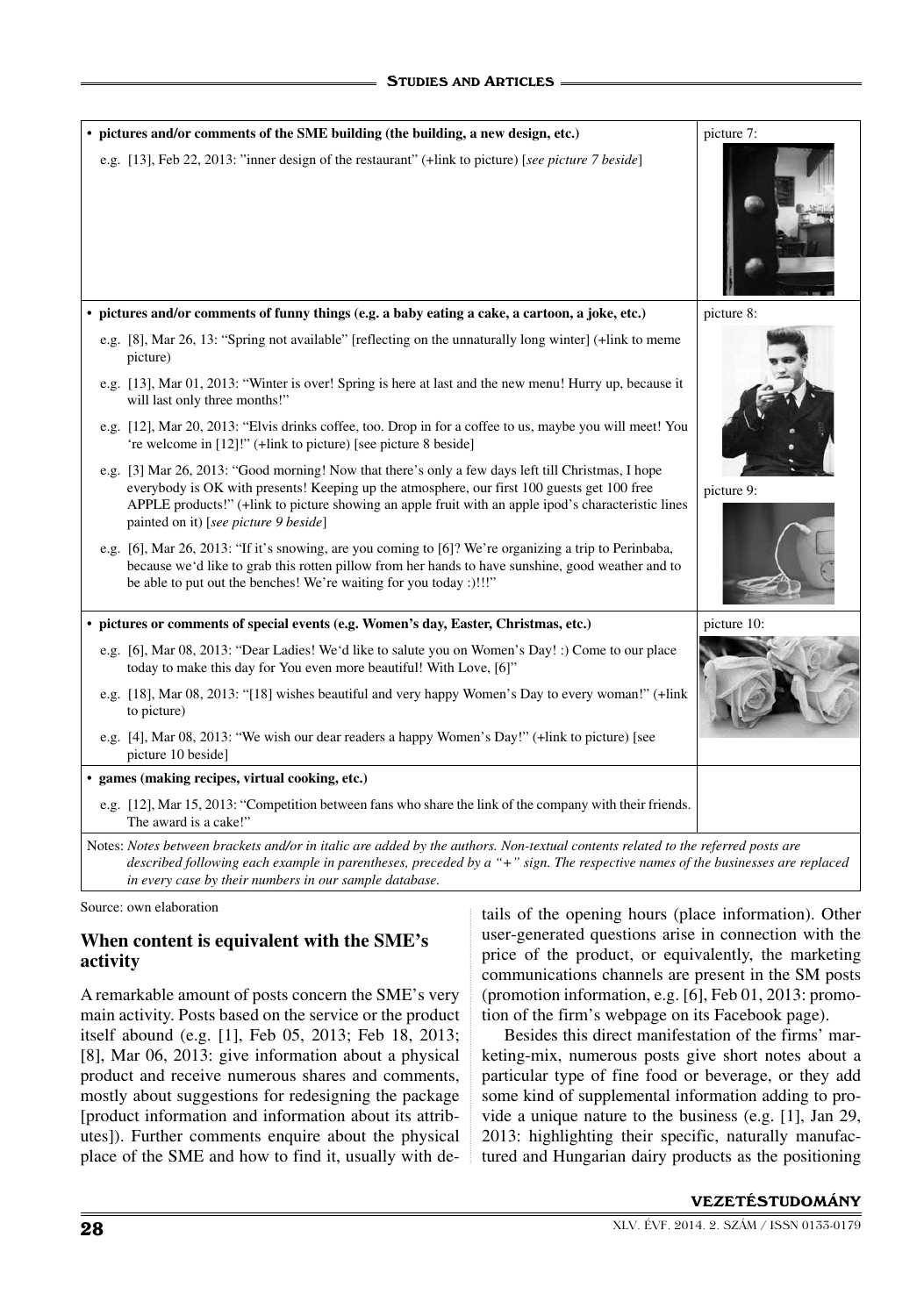| • pictures and/or comments of the SME building (the building, a new design, etc.)                                                                                                                                                                                                                                                                 | picture 7:  |
|---------------------------------------------------------------------------------------------------------------------------------------------------------------------------------------------------------------------------------------------------------------------------------------------------------------------------------------------------|-------------|
| e.g. [13], Feb 22, 2013: "inner design of the restaurant" (+link to picture) [see picture 7 beside]                                                                                                                                                                                                                                               |             |
| · pictures and/or comments of funny things (e.g. a baby eating a cake, a cartoon, a joke, etc.)                                                                                                                                                                                                                                                   | picture 8:  |
| e.g. [8], Mar 26, 13: "Spring not available" [reflecting on the unnaturally long winter] (+link to meme<br>picture)                                                                                                                                                                                                                               |             |
| e.g. [13], Mar 01, 2013: "Winter is over! Spring is here at last and the new menu! Hurry up, because it<br>will last only three months!"                                                                                                                                                                                                          |             |
| e.g. [12], Mar 20, 2013: "Elvis drinks coffee, too. Drop in for a coffee to us, maybe you will meet! You<br>'re welcome in [12]!" (+link to picture) [see picture 8 beside]                                                                                                                                                                       |             |
| e.g. [3] Mar 26, 2013: "Good morning! Now that there's only a few days left till Christmas, I hope<br>everybody is OK with presents! Keeping up the atmosphere, our first 100 guests get 100 free<br>APPLE products!" (+link to picture showing an apple fruit with an apple ipod's characteristic lines<br>painted on it) [see picture 9 beside] | picture 9:  |
| e.g. [6], Mar 26, 2013: "If it's snowing, are you coming to [6]? We're organizing a trip to Perinbaba,<br>because we'd like to grab this rotten pillow from her hands to have sunshine, good weather and to<br>be able to put out the benches! We're waiting for you today :)!!!"                                                                 |             |
| • pictures or comments of special events (e.g. Women's day, Easter, Christmas, etc.)                                                                                                                                                                                                                                                              | picture 10: |
| e.g. [6], Mar 08, 2013: "Dear Ladies! We'd like to salute you on Women's Day! :) Come to our place<br>today to make this day for You even more beautiful! With Love, [6]"                                                                                                                                                                         |             |
| e.g. [18], Mar 08, 2013: "[18] wishes beautiful and very happy Women's Day to every woman!" (+link<br>to picture)                                                                                                                                                                                                                                 |             |
| e.g. [4], Mar 08, 2013: "We wish our dear readers a happy Women's Day!" (+link to picture) [see<br>picture 10 beside]                                                                                                                                                                                                                             |             |
| · games (making recipes, virtual cooking, etc.)                                                                                                                                                                                                                                                                                                   |             |
| e.g. [12], Mar 15, 2013: "Competition between fans who share the link of the company with their friends.<br>The award is a cake!"                                                                                                                                                                                                                 |             |
| Notes: Notes between brackets and/or in italic are added by the authors. Non-textual contents related to the referred posts are<br>described following each example in parentheses, preceded by a "+" sign. The respective names of the businesses are replaced                                                                                   |             |

*in every case by their numbers in our sample database.*

Source: own elaboration

# **When content is equivalent with the SME's activity**

A remarkable amount of posts concern the SME's very main activity. Posts based on the service or the product itself abound (e.g. [1], Feb 05, 2013; Feb 18, 2013; [8], Mar 06, 2013: give information about a physical product and receive numerous shares and comments, mostly about suggestions for redesigning the package [product information and information about its attributes]). Further comments enquire about the physical place of the SME and how to find it, usually with details of the opening hours (place information). Other user-generated questions arise in connection with the price of the product, or equivalently, the marketing communications channels are present in the SM posts (promotion information, e.g. [6], Feb 01, 2013: promotion of the firm's webpage on its Facebook page).

Besides this direct manifestation of the firms' marketing-mix, numerous posts give short notes about a particular type of fine food or beverage, or they add some kind of supplemental information adding to provide a unique nature to the business (e.g. [1], Jan 29, 2013: highlighting their specific, naturally manufactured and Hungarian dairy products as the positioning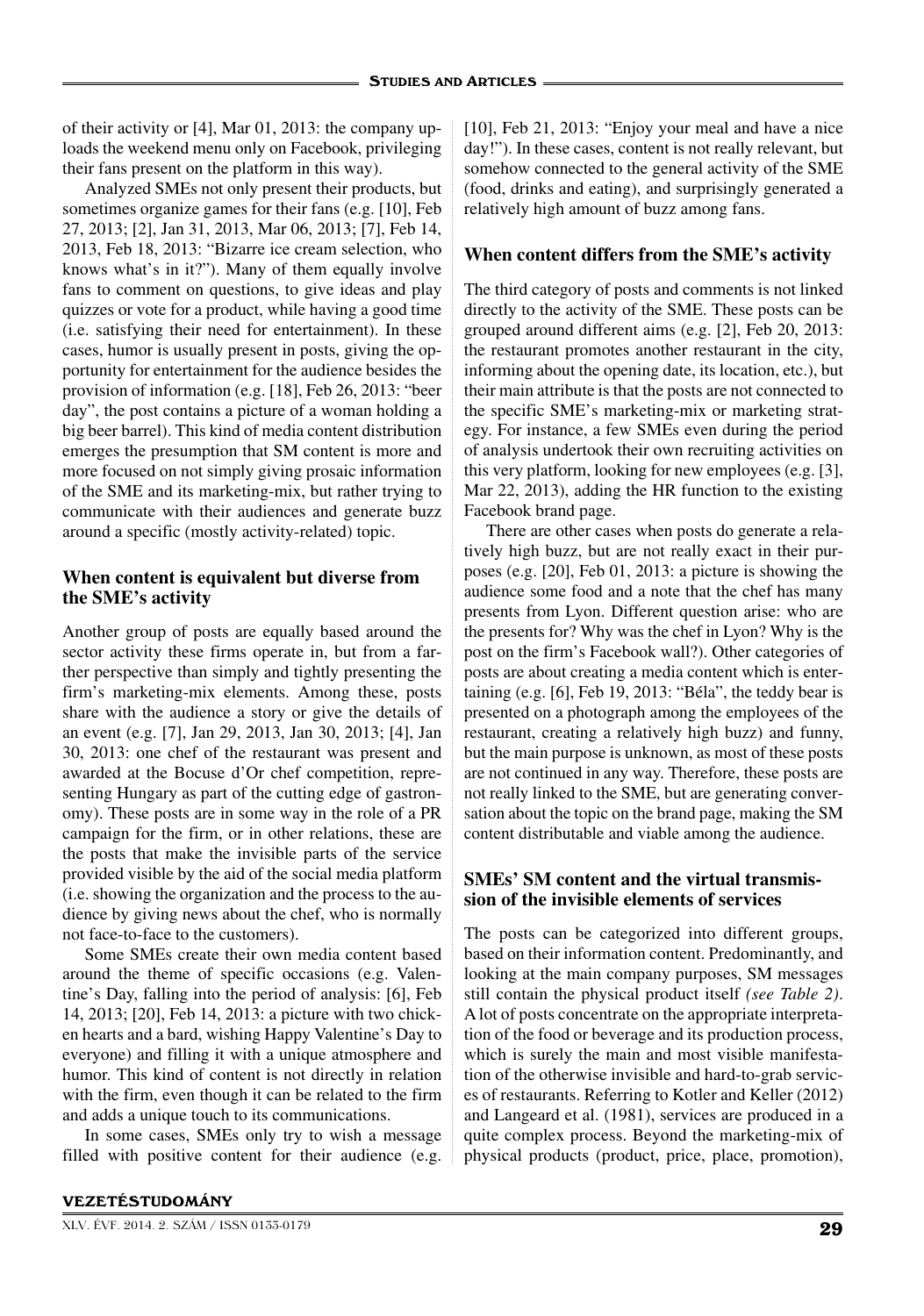of their activity or [4], Mar 01, 2013: the company uploads the weekend menu only on Facebook, privileging their fans present on the platform in this way).

Analyzed SMEs not only present their products, but sometimes organize games for their fans (e.g. [10], Feb 27, 2013; [2], Jan 31, 2013, Mar 06, 2013; [7], Feb 14, 2013, Feb 18, 2013: "Bizarre ice cream selection, who knows what's in it?"). Many of them equally involve fans to comment on questions, to give ideas and play quizzes or vote for a product, while having a good time (i.e. satisfying their need for entertainment). In these cases, humor is usually present in posts, giving the opportunity for entertainment for the audience besides the provision of information (e.g. [18], Feb 26, 2013: "beer day", the post contains a picture of a woman holding a big beer barrel). This kind of media content distribution emerges the presumption that SM content is more and more focused on not simply giving prosaic information of the SME and its marketing-mix, but rather trying to communicate with their audiences and generate buzz around a specific (mostly activity-related) topic.

# **When content is equivalent but diverse from the SME's activity**

Another group of posts are equally based around the sector activity these firms operate in, but from a farther perspective than simply and tightly presenting the firm's marketing-mix elements. Among these, posts share with the audience a story or give the details of an event (e.g. [7], Jan 29, 2013, Jan 30, 2013; [4], Jan 30, 2013: one chef of the restaurant was present and awarded at the Bocuse d'Or chef competition, representing Hungary as part of the cutting edge of gastronomy). These posts are in some way in the role of a PR campaign for the firm, or in other relations, these are the posts that make the invisible parts of the service provided visible by the aid of the social media platform (i.e. showing the organization and the process to the audience by giving news about the chef, who is normally not face-to-face to the customers).

Some SMEs create their own media content based around the theme of specific occasions (e.g. Valentine's Day, falling into the period of analysis: [6], Feb 14, 2013; [20], Feb 14, 2013: a picture with two chicken hearts and a bard, wishing Happy Valentine's Day to everyone) and filling it with a unique atmosphere and humor. This kind of content is not directly in relation with the firm, even though it can be related to the firm and adds a unique touch to its communications.

In some cases, SMEs only try to wish a message filled with positive content for their audience (e.g. [10], Feb 21, 2013: "Enjoy your meal and have a nice day!"). In these cases, content is not really relevant, but somehow connected to the general activity of the SME (food, drinks and eating), and surprisingly generated a relatively high amount of buzz among fans.

# **When content differs from the SME's activity**

The third category of posts and comments is not linked directly to the activity of the SME. These posts can be grouped around different aims (e.g. [2], Feb 20, 2013: the restaurant promotes another restaurant in the city, informing about the opening date, its location, etc.), but their main attribute is that the posts are not connected to the specific SME's marketing-mix or marketing strategy. For instance, a few SMEs even during the period of analysis undertook their own recruiting activities on this very platform, looking for new employees (e.g. [3], Mar 22, 2013), adding the HR function to the existing Facebook brand page.

There are other cases when posts do generate a relatively high buzz, but are not really exact in their purposes (e.g. [20], Feb 01, 2013: a picture is showing the audience some food and a note that the chef has many presents from Lyon. Different question arise: who are the presents for? Why was the chef in Lyon? Why is the post on the firm's Facebook wall?). Other categories of posts are about creating a media content which is entertaining (e.g. [6], Feb 19, 2013: "Béla", the teddy bear is presented on a photograph among the employees of the restaurant, creating a relatively high buzz) and funny, but the main purpose is unknown, as most of these posts are not continued in any way. Therefore, these posts are not really linked to the SME, but are generating conversation about the topic on the brand page, making the SM content distributable and viable among the audience.

# **SMEs' SM content and the virtual transmission of the invisible elements of services**

The posts can be categorized into different groups, based on their information content. Predominantly, and looking at the main company purposes, SM messages still contain the physical product itself *(see Table 2)*. A lot of posts concentrate on the appropriate interpretation of the food or beverage and its production process, which is surely the main and most visible manifestation of the otherwise invisible and hard-to-grab services of restaurants. Referring to Kotler and Keller (2012) and Langeard et al. (1981), services are produced in a quite complex process. Beyond the marketing-mix of physical products (product, price, place, promotion),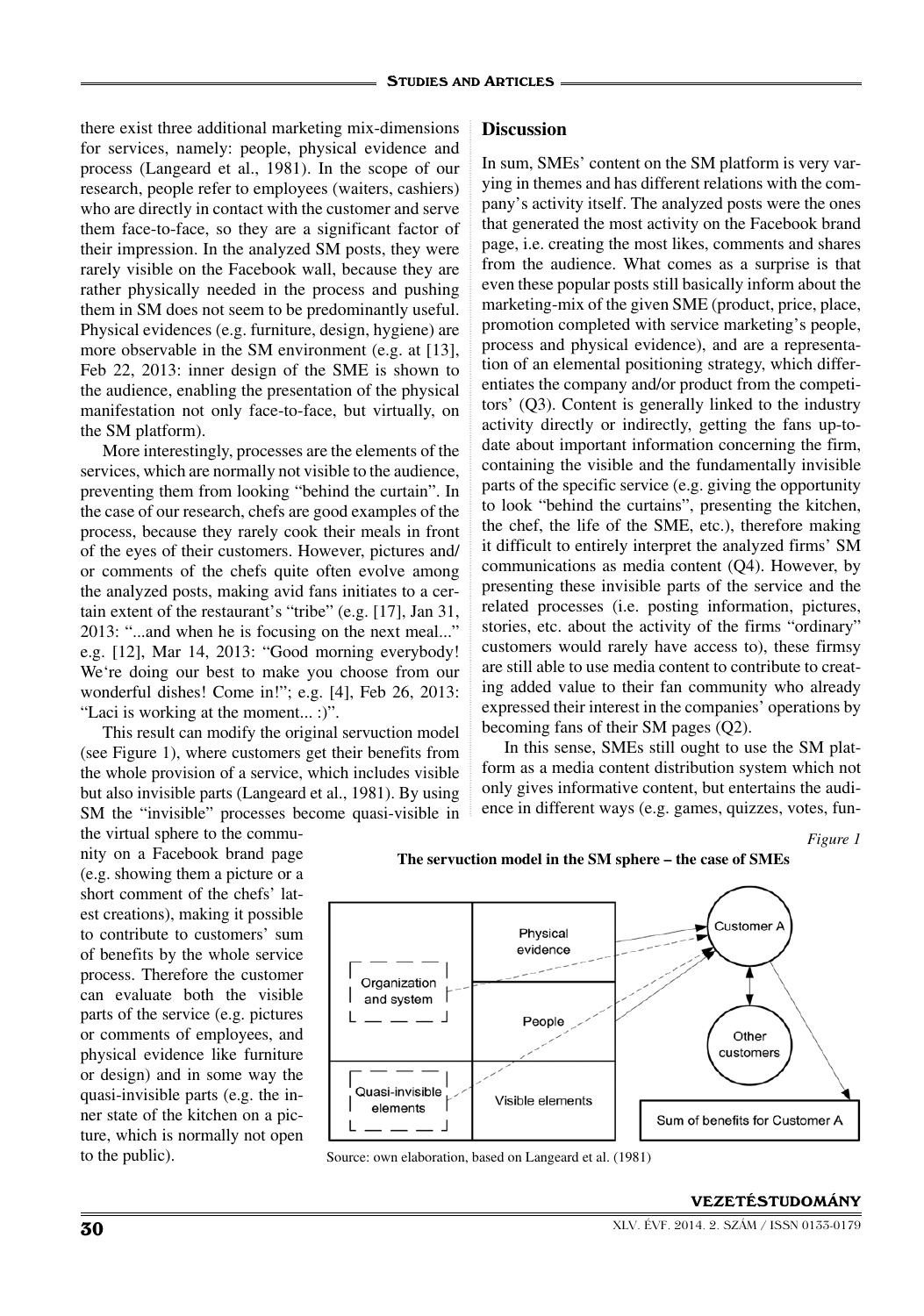there exist three additional marketing mix-dimensions for services, namely: people, physical evidence and process (Langeard et al., 1981). In the scope of our research, people refer to employees (waiters, cashiers) who are directly in contact with the customer and serve them face-to-face, so they are a significant factor of their impression. In the analyzed SM posts, they were rarely visible on the Facebook wall, because they are rather physically needed in the process and pushing them in SM does not seem to be predominantly useful. Physical evidences (e.g. furniture, design, hygiene) are more observable in the SM environment (e.g. at [13], Feb 22, 2013: inner design of the SME is shown to the audience, enabling the presentation of the physical manifestation not only face-to-face, but virtually, on the SM platform).

More interestingly, processes are the elements of the services, which are normally not visible to the audience, preventing them from looking "behind the curtain". In the case of our research, chefs are good examples of the process, because they rarely cook their meals in front of the eyes of their customers. However, pictures and/ or comments of the chefs quite often evolve among the analyzed posts, making avid fans initiates to a certain extent of the restaurant's "tribe" (e.g. [17], Jan 31, 2013: "...and when he is focusing on the next meal..." e.g. [12], Mar 14, 2013: "Good morning everybody! We're doing our best to make you choose from our wonderful dishes! Come in!"; e.g. [4], Feb 26, 2013: "Laci is working at the moment... :)".

This result can modify the original servuction model (see Figure 1), where customers get their benefits from the whole provision of a service, which includes visible but also invisible parts (Langeard et al., 1981). By using SM the "invisible" processes become quasi-visible in

the virtual sphere to the community on a Facebook brand page (e.g. showing them a picture or a short comment of the chefs' latest creations), making it possible to contribute to customers' sum of benefits by the whole service process. Therefore the customer can evaluate both the visible parts of the service (e.g. pictures or comments of employees, and physical evidence like furniture or design) and in some way the quasi-invisible parts (e.g. the inner state of the kitchen on a picture, which is normally not open to the public).

#### **Discussion**

In sum, SMEs' content on the SM platform is very varying in themes and has different relations with the company's activity itself. The analyzed posts were the ones that generated the most activity on the Facebook brand page, i.e. creating the most likes, comments and shares from the audience. What comes as a surprise is that even these popular posts still basically inform about the marketing-mix of the given SME (product, price, place, promotion completed with service marketing's people, process and physical evidence), and are a representation of an elemental positioning strategy, which differentiates the company and/or product from the competitors' (Q3). Content is generally linked to the industry activity directly or indirectly, getting the fans up-todate about important information concerning the firm, containing the visible and the fundamentally invisible parts of the specific service (e.g. giving the opportunity to look "behind the curtains", presenting the kitchen, the chef, the life of the SME, etc.), therefore making it difficult to entirely interpret the analyzed firms' SM communications as media content (Q4). However, by presenting these invisible parts of the service and the related processes (i.e. posting information, pictures, stories, etc. about the activity of the firms "ordinary" customers would rarely have access to), these firmsy are still able to use media content to contribute to creating added value to their fan community who already expressed their interest in the companies' operations by becoming fans of their SM pages (Q2).

In this sense, SMEs still ought to use the SM platform as a media content distribution system which not only gives informative content, but entertains the audience in different ways (e.g. games, quizzes, votes, fun-

*Figure 1*





Source: own elaboration, based on Langeard et al. (1981)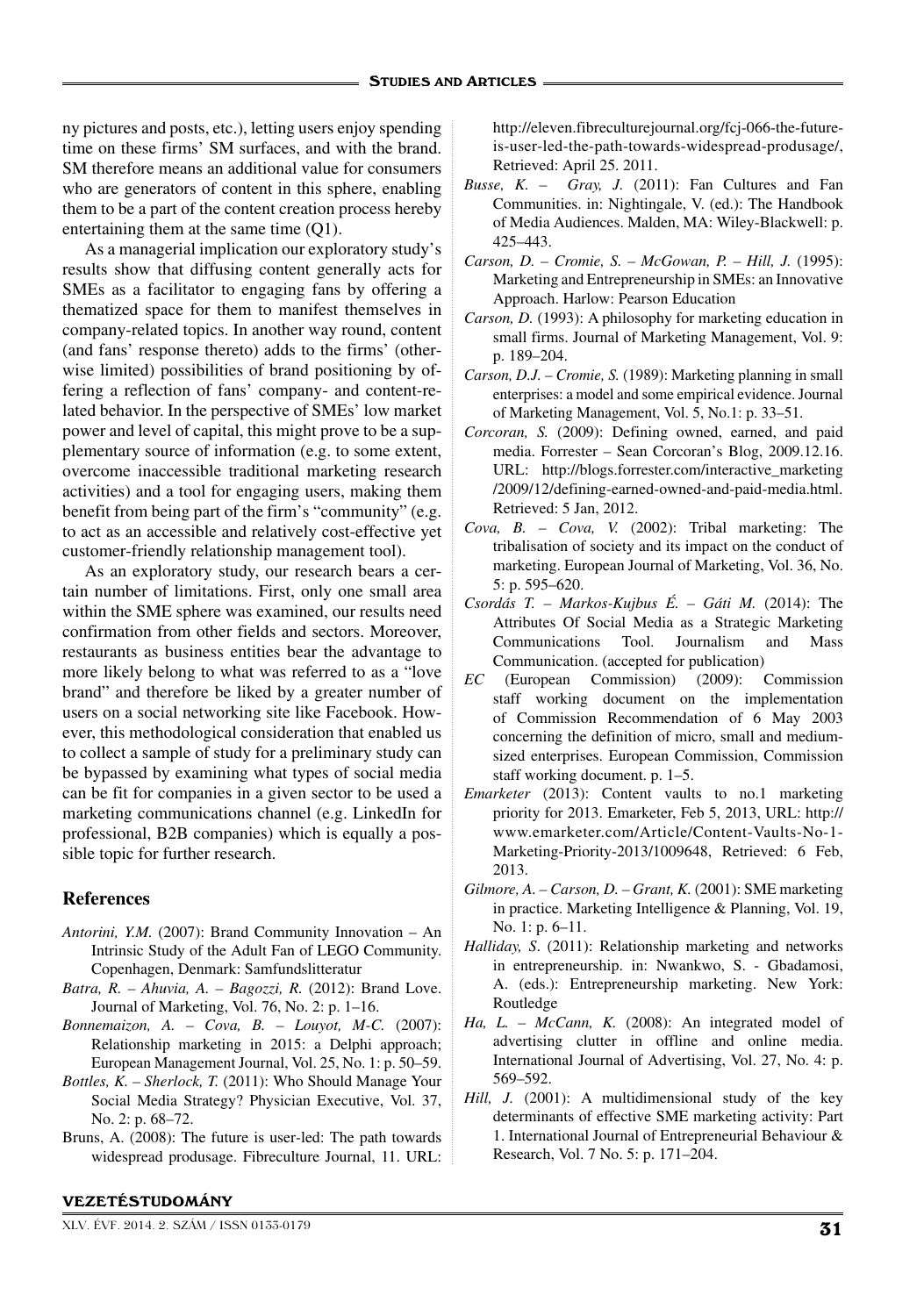ny pictures and posts, etc.), letting users enjoy spending time on these firms' SM surfaces, and with the brand. SM therefore means an additional value for consumers who are generators of content in this sphere, enabling them to be a part of the content creation process hereby entertaining them at the same time (Q1).

As a managerial implication our exploratory study's results show that diffusing content generally acts for SMEs as a facilitator to engaging fans by offering a thematized space for them to manifest themselves in company-related topics. In another way round, content (and fans' response thereto) adds to the firms' (otherwise limited) possibilities of brand positioning by offering a reflection of fans' company- and content-related behavior. In the perspective of SMEs' low market power and level of capital, this might prove to be a supplementary source of information (e.g. to some extent, overcome inaccessible traditional marketing research activities) and a tool for engaging users, making them benefit from being part of the firm's "community" (e.g. to act as an accessible and relatively cost-effective yet customer-friendly relationship management tool).

As an exploratory study, our research bears a certain number of limitations. First, only one small area within the SME sphere was examined, our results need confirmation from other fields and sectors. Moreover, restaurants as business entities bear the advantage to more likely belong to what was referred to as a "love brand" and therefore be liked by a greater number of users on a social networking site like Facebook. However, this methodological consideration that enabled us to collect a sample of study for a preliminary study can be bypassed by examining what types of social media can be fit for companies in a given sector to be used a marketing communications channel (e.g. LinkedIn for professional, B2B companies) which is equally a possible topic for further research.

## **References**

- *Antorini, Y.M.* (2007): Brand Community Innovation An Intrinsic Study of the Adult Fan of LEGO Community. Copenhagen, Denmark: Samfundslitteratur
- *Batra, R. Ahuvia, A. Bagozzi, R.* (2012): Brand Love. Journal of Marketing, Vol. 76, No. 2: p. 1–16.
- *Bonnemaizon, A. Cova, B. Louyot, M-C.* (2007): Relationship marketing in 2015: a Delphi approach; European Management Journal, Vol. 25, No. 1: p. 50–59.
- *Bottles, K. Sherlock, T.* (2011): Who Should Manage Your Social Media Strategy? Physician Executive, Vol. 37, No. 2: p. 68–72.
- Bruns, A. (2008): The future is user-led: The path towards widespread produsage. Fibreculture Journal, 11. URL:

#### VEZETÉSTUDOMÁNY

XLV. ÉVF. 2014. 2. SZÁM / ISSN 0133-0179 31

http://eleven.fibreculturejournal.org/fcj-066-the-futureis-user-led-the-path-towards-widespread-produsage/, Retrieved: April 25. 2011.

- *Busse, K. Gray, J.* (2011): Fan Cultures and Fan Communities. in: Nightingale, V. (ed.): The Handbook of Media Audiences. Malden, MA: Wiley-Blackwell: p. 425–443.
- *Carson, D. Cromie, S. McGowan, P. Hill, J.* (1995): Marketing and Entrepreneurship in SMEs: an Innovative Approach. Harlow: Pearson Education
- *Carson, D.* (1993): A philosophy for marketing education in small firms. Journal of Marketing Management, Vol. 9: p. 189–204.
- *Carson, D.J. Cromie, S.* (1989): Marketing planning in small enterprises: a model and some empirical evidence. Journal of Marketing Management, Vol. 5, No.1: p. 33–51.
- *Corcoran, S.* (2009): Defining owned, earned, and paid media. Forrester – Sean Corcoran's Blog, 2009.12.16. URL: http://blogs.forrester.com/interactive\_marketing /2009/12/defining-earned-owned-and-paid-media.html. Retrieved: 5 Jan, 2012.
- *Cova, B. Cova, V.* (2002): Tribal marketing: The tribalisation of society and its impact on the conduct of marketing. European Journal of Marketing, Vol. 36, No. 5: p. 595–620.
- *Csordás T. Markos-Kujbus É. Gáti M.* (2014): The Attributes Of Social Media as a Strategic Marketing Communications Tool. Journalism and Mass Communication. (accepted for publication)
- *EC* (European Commission) (2009): Commission staff working document on the implementation of Commission Recommendation of 6 May 2003 concerning the definition of micro, small and mediumsized enterprises. European Commission, Commission staff working document. p. 1–5.
- *Emarketer* (2013): Content vaults to no.1 marketing priority for 2013. Emarketer, Feb 5, 2013, URL: http:// www.emarketer.com/Article/Content-Vaults-No-1- Marketing-Priority-2013/1009648, Retrieved: 6 Feb, 2013.
- *Gilmore, A. Carson, D. Grant, K.* (2001): SME marketing in practice. Marketing Intelligence & Planning, Vol. 19, No. 1: p. 6–11.
- *Halliday, S*. (2011): Relationship marketing and networks in entrepreneurship. in: Nwankwo, S. - Gbadamosi, A. (eds.): Entrepreneurship marketing. New York: Routledge
- *Ha, L. McCann, K.* (2008): An integrated model of advertising clutter in offline and online media. International Journal of Advertising, Vol. 27, No. 4: p. 569–592.
- *Hill, J.* (2001): A multidimensional study of the key determinants of effective SME marketing activity: Part 1. International Journal of Entrepreneurial Behaviour & Research, Vol. 7 No. 5: p. 171–204.